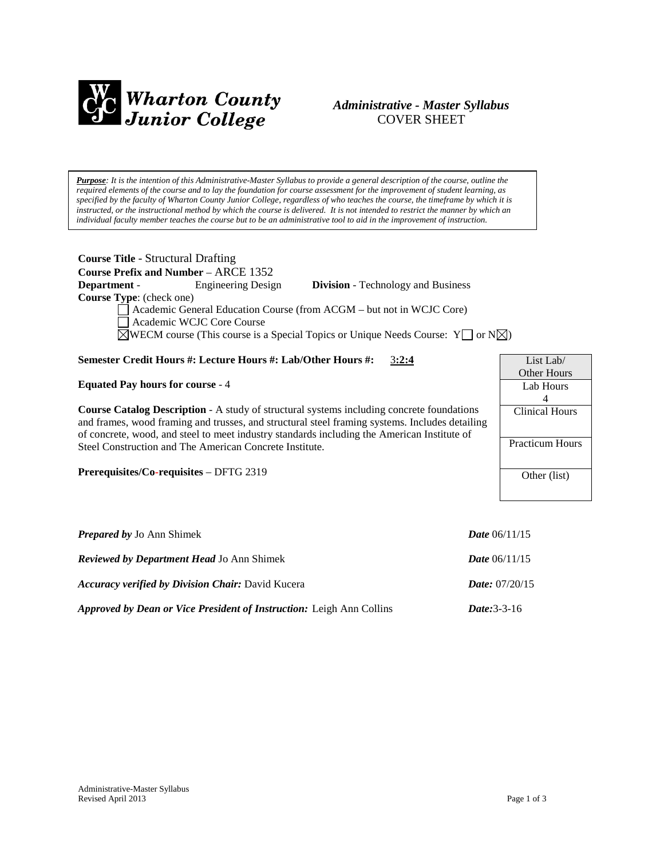

# *Administrative - Master Syllabus*  COVER SHEET

*Purpose: It is the intention of this Administrative-Master Syllabus to provide a general description of the course, outline the required elements of the course and to lay the foundation for course assessment for the improvement of student learning, as specified by the faculty of Wharton County Junior College, regardless of who teaches the course, the timeframe by which it is instructed, or the instructional method by which the course is delivered. It is not intended to restrict the manner by which an individual faculty member teaches the course but to be an administrative tool to aid in the improvement of instruction.*

| <b>Course Title - Structural Drafting</b> |                                        |          |
|-------------------------------------------|----------------------------------------|----------|
|                                           | Course Prefix and Number $-$ ARCE 1352 |          |
| - Denartment                              | Engineering Design                     | Division |

**Course Type**: (check one)

**Department** - Engineering Design **Division** - Technology and Business

Academic General Education Course (from ACGM – but not in WCJC Core) Academic WCJC Core Course

 $\overline{\boxtimes}$ WECM course (This course is a Special Topics or Unique Needs Course: Y  $\Box$  or N $\overline{\boxtimes}$ )

# **Semester Credit Hours #: Lecture Hours #: Lab/Other Hours #:** 3**:2:4**

**Equated Pay hours for course** - 4

**Course Catalog Description** - A study of structural systems including concrete foundations and frames, wood framing and trusses, and structural steel framing systems. Includes detailing of concrete, wood, and steel to meet industry standards including the American Institute of Steel Construction and The American Concrete Institute.

**Prerequisites/Co-requisites** – DFTG 2319

| <b>Prepared by Jo Ann Shimek</b>                                            | <b>Date</b> $06/11/15$     |
|-----------------------------------------------------------------------------|----------------------------|
| <b>Reviewed by Department Head Jo Ann Shimek</b>                            | <b>Date</b> $06/11/15$     |
| <b>Accuracy verified by Division Chair: David Kucera</b>                    | <i>Date:</i> $07/20/15$    |
| <b>Approved by Dean or Vice President of Instruction:</b> Leigh Ann Collins | <i>Date</i> : $3 - 3 - 16$ |

List Lab/ Other Hours Lab Hours 4 Clinical Hours

Practicum Hours

Other (list)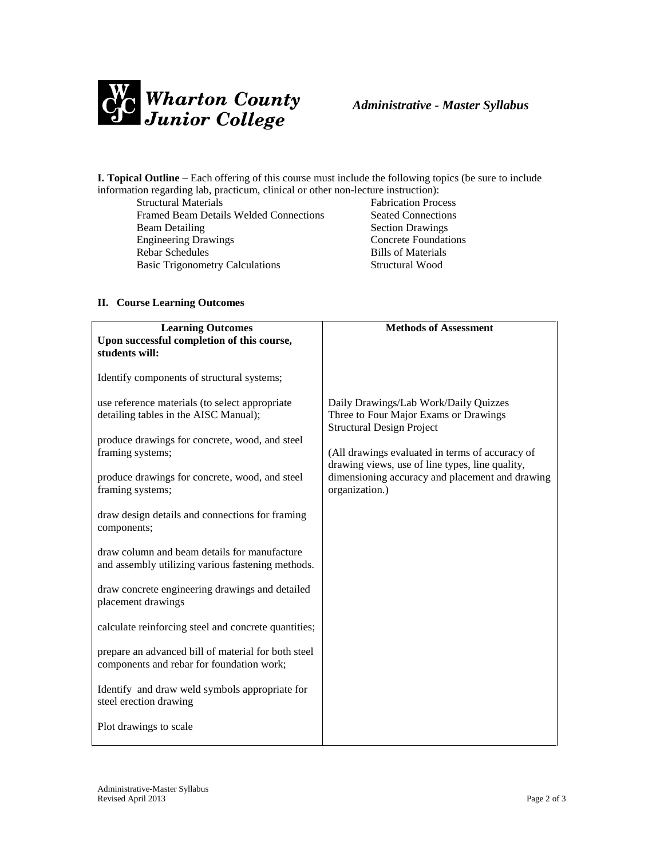

**I. Topical Outline** – Each offering of this course must include the following topics (be sure to include information regarding lab, practicum, clinical or other non-lecture instruction):

Framed Beam Details Welded Connections<br>Beam Detailing Engineering Drawings Concrete Foundations Rebar Schedules Bills of Materials Basic Trigonometry Calculations Structural Wood

Fabrication Process<br>Seated Connections **Section Drawings** 

## **II. Course Learning Outcomes**

| <b>Learning Outcomes</b>                                                                          | <b>Methods of Assessment</b>                                                                                       |  |
|---------------------------------------------------------------------------------------------------|--------------------------------------------------------------------------------------------------------------------|--|
| Upon successful completion of this course,                                                        |                                                                                                                    |  |
| students will:                                                                                    |                                                                                                                    |  |
| Identify components of structural systems;                                                        |                                                                                                                    |  |
| use reference materials (to select appropriate<br>detailing tables in the AISC Manual);           | Daily Drawings/Lab Work/Daily Quizzes<br>Three to Four Major Exams or Drawings<br><b>Structural Design Project</b> |  |
| produce drawings for concrete, wood, and steel                                                    |                                                                                                                    |  |
| framing systems;                                                                                  | (All drawings evaluated in terms of accuracy of<br>drawing views, use of line types, line quality,                 |  |
| produce drawings for concrete, wood, and steel<br>framing systems;                                | dimensioning accuracy and placement and drawing<br>organization.)                                                  |  |
| draw design details and connections for framing<br>components;                                    |                                                                                                                    |  |
| draw column and beam details for manufacture<br>and assembly utilizing various fastening methods. |                                                                                                                    |  |
| draw concrete engineering drawings and detailed<br>placement drawings                             |                                                                                                                    |  |
| calculate reinforcing steel and concrete quantities;                                              |                                                                                                                    |  |
| prepare an advanced bill of material for both steel<br>components and rebar for foundation work;  |                                                                                                                    |  |
| Identify and draw weld symbols appropriate for<br>steel erection drawing                          |                                                                                                                    |  |
| Plot drawings to scale                                                                            |                                                                                                                    |  |